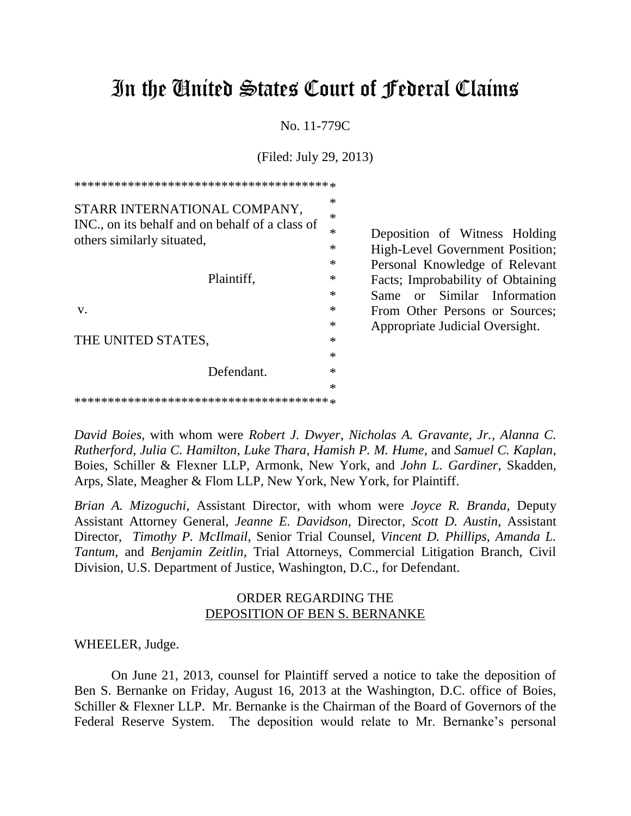## In the United States Court of Federal Claims

No. 11-779C

(Filed: July 29, 2013)

| STARR INTERNATIONAL COMPANY,<br>INC., on its behalf and on behalf of a class of<br>others similarly situated, | $\ast$<br>$\ast$<br>$\ast$<br>$\ast$ |
|---------------------------------------------------------------------------------------------------------------|--------------------------------------|
| Plaintiff,                                                                                                    | $\ast$<br>$\ast$<br>$\ast$           |
| V.                                                                                                            | $\ast$                               |
|                                                                                                               | $\ast$                               |
| THE UNITED STATES,                                                                                            | $\ast$                               |
|                                                                                                               | $\ast$                               |
| Defendant.                                                                                                    | $\ast$                               |
|                                                                                                               | $\ast$                               |
|                                                                                                               |                                      |

Deposition of Witness Holding High-Level Government Position; Personal Knowledge of Relevant Facts; Improbability of Obtaining Same or Similar Information From Other Persons or Sources; Appropriate Judicial Oversight.

*David Boies*, with whom were *Robert J. Dwyer*, *Nicholas A. Gravante, Jr.*, *Alanna C. Rutherford*, *Julia C. Hamilton*, *Luke Thara, Hamish P. M. Hume*, and *Samuel C. Kaplan*, Boies, Schiller & Flexner LLP, Armonk, New York, and *John L. Gardiner*, Skadden, Arps, Slate, Meagher & Flom LLP, New York, New York, for Plaintiff.

*Brian A. Mizoguchi*, Assistant Director, with whom were *Joyce R. Branda*, Deputy Assistant Attorney General, *Jeanne E. Davidson*, Director, *Scott D. Austin*, Assistant Director, *Timothy P. McIlmail*, Senior Trial Counsel, *Vincent D. Phillips*, *Amanda L. Tantum*, and *Benjamin Zeitlin*, Trial Attorneys, Commercial Litigation Branch, Civil Division, U.S. Department of Justice, Washington, D.C., for Defendant.

## ORDER REGARDING THE DEPOSITION OF BEN S. BERNANKE

## WHEELER, Judge.

On June 21, 2013, counsel for Plaintiff served a notice to take the deposition of Ben S. Bernanke on Friday, August 16, 2013 at the Washington, D.C. office of Boies, Schiller & Flexner LLP. Mr. Bernanke is the Chairman of the Board of Governors of the Federal Reserve System. The deposition would relate to Mr. Bernanke's personal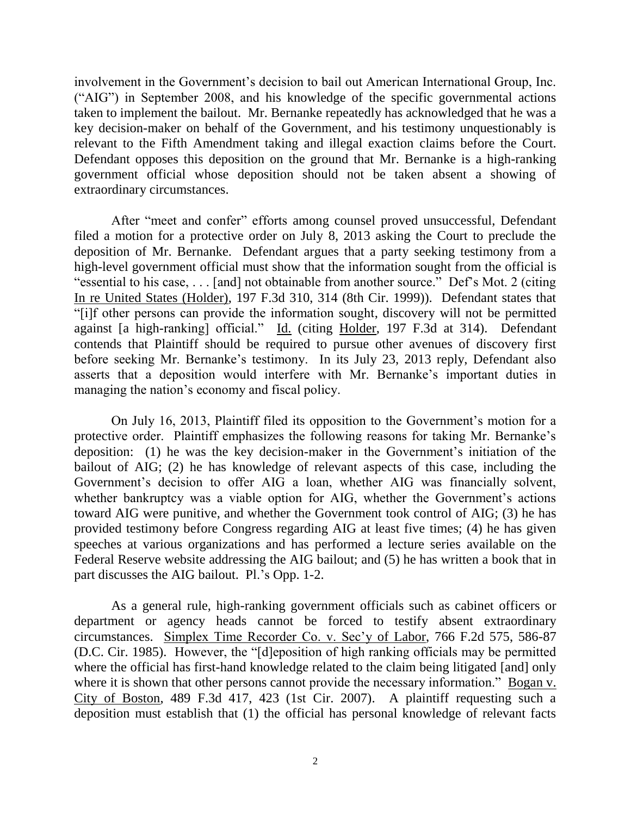involvement in the Government's decision to bail out American International Group, Inc. ("AIG") in September 2008, and his knowledge of the specific governmental actions taken to implement the bailout. Mr. Bernanke repeatedly has acknowledged that he was a key decision-maker on behalf of the Government, and his testimony unquestionably is relevant to the Fifth Amendment taking and illegal exaction claims before the Court. Defendant opposes this deposition on the ground that Mr. Bernanke is a high-ranking government official whose deposition should not be taken absent a showing of extraordinary circumstances.

After "meet and confer" efforts among counsel proved unsuccessful, Defendant filed a motion for a protective order on July 8, 2013 asking the Court to preclude the deposition of Mr. Bernanke. Defendant argues that a party seeking testimony from a high-level government official must show that the information sought from the official is "essential to his case, . . . [and] not obtainable from another source." Def's Mot. 2 (citing In re United States (Holder), 197 F.3d 310, 314 (8th Cir. 1999)). Defendant states that "[i]f other persons can provide the information sought, discovery will not be permitted against [a high-ranking] official." Id. (citing Holder, 197 F.3d at 314). Defendant contends that Plaintiff should be required to pursue other avenues of discovery first before seeking Mr. Bernanke's testimony. In its July 23, 2013 reply, Defendant also asserts that a deposition would interfere with Mr. Bernanke's important duties in managing the nation's economy and fiscal policy.

On July 16, 2013, Plaintiff filed its opposition to the Government's motion for a protective order. Plaintiff emphasizes the following reasons for taking Mr. Bernanke's deposition: (1) he was the key decision-maker in the Government's initiation of the bailout of AIG; (2) he has knowledge of relevant aspects of this case, including the Government's decision to offer AIG a loan, whether AIG was financially solvent, whether bankruptcy was a viable option for AIG, whether the Government's actions toward AIG were punitive, and whether the Government took control of AIG; (3) he has provided testimony before Congress regarding AIG at least five times; (4) he has given speeches at various organizations and has performed a lecture series available on the Federal Reserve website addressing the AIG bailout; and (5) he has written a book that in part discusses the AIG bailout. Pl.'s Opp. 1-2.

As a general rule, high-ranking government officials such as cabinet officers or department or agency heads cannot be forced to testify absent extraordinary circumstances. Simplex Time Recorder Co. v. Sec'y of Labor, 766 F.2d 575, 586-87 (D.C. Cir. 1985). However, the "[d]eposition of high ranking officials may be permitted where the official has first-hand knowledge related to the claim being litigated [and] only where it is shown that other persons cannot provide the necessary information." Bogan v. City of Boston, 489 F.3d 417, 423 (1st Cir. 2007). A plaintiff requesting such a deposition must establish that (1) the official has personal knowledge of relevant facts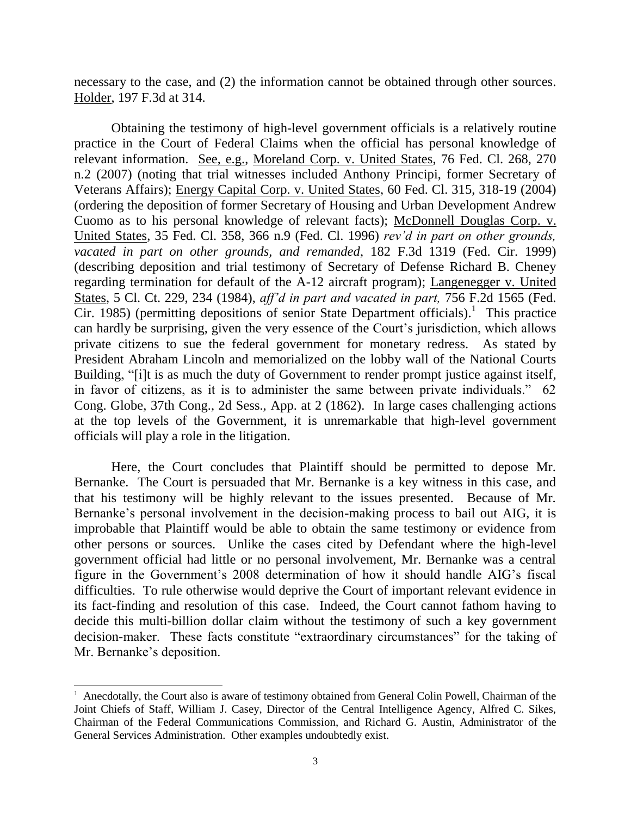necessary to the case, and (2) the information cannot be obtained through other sources. Holder, 197 F.3d at 314.

Obtaining the testimony of high-level government officials is a relatively routine practice in the Court of Federal Claims when the official has personal knowledge of relevant information. See, e.g., Moreland Corp. v. United States, 76 Fed. Cl. 268, 270 n.2 (2007) (noting that trial witnesses included Anthony Principi, former Secretary of Veterans Affairs); Energy Capital Corp. v. United States, 60 Fed. Cl. 315, 318-19 (2004) (ordering the deposition of former Secretary of Housing and Urban Development Andrew Cuomo as to his personal knowledge of relevant facts); McDonnell Douglas Corp. v. United States, 35 Fed. Cl. 358, 366 n.9 (Fed. Cl. 1996) *rev'd in part on other grounds, vacated in part on other grounds, and remanded*, 182 F.3d 1319 (Fed. Cir. 1999) (describing deposition and trial testimony of Secretary of Defense Richard B. Cheney regarding termination for default of the A-12 aircraft program); Langenegger v. United States, 5 Cl. Ct. 229, 234 (1984), *aff'd in part and vacated in part,* 756 F.2d 1565 (Fed. Cir. 1985) (permitting depositions of senior State Department officials).<sup>1</sup> This practice can hardly be surprising, given the very essence of the Court's jurisdiction, which allows private citizens to sue the federal government for monetary redress. As stated by President Abraham Lincoln and memorialized on the lobby wall of the National Courts Building, "[i]t is as much the duty of Government to render prompt justice against itself, in favor of citizens, as it is to administer the same between private individuals." 62 Cong. Globe, 37th Cong., 2d Sess., App. at 2 (1862). In large cases challenging actions at the top levels of the Government, it is unremarkable that high-level government officials will play a role in the litigation.

Here, the Court concludes that Plaintiff should be permitted to depose Mr. Bernanke. The Court is persuaded that Mr. Bernanke is a key witness in this case, and that his testimony will be highly relevant to the issues presented. Because of Mr. Bernanke's personal involvement in the decision-making process to bail out AIG, it is improbable that Plaintiff would be able to obtain the same testimony or evidence from other persons or sources. Unlike the cases cited by Defendant where the high-level government official had little or no personal involvement, Mr. Bernanke was a central figure in the Government's 2008 determination of how it should handle AIG's fiscal difficulties. To rule otherwise would deprive the Court of important relevant evidence in its fact-finding and resolution of this case. Indeed, the Court cannot fathom having to decide this multi-billion dollar claim without the testimony of such a key government decision-maker. These facts constitute "extraordinary circumstances" for the taking of Mr. Bernanke's deposition.

 $\overline{a}$ 

 $<sup>1</sup>$  Anecdotally, the Court also is aware of testimony obtained from General Colin Powell, Chairman of the</sup> Joint Chiefs of Staff, William J. Casey, Director of the Central Intelligence Agency, Alfred C. Sikes, Chairman of the Federal Communications Commission, and Richard G. Austin, Administrator of the General Services Administration. Other examples undoubtedly exist.